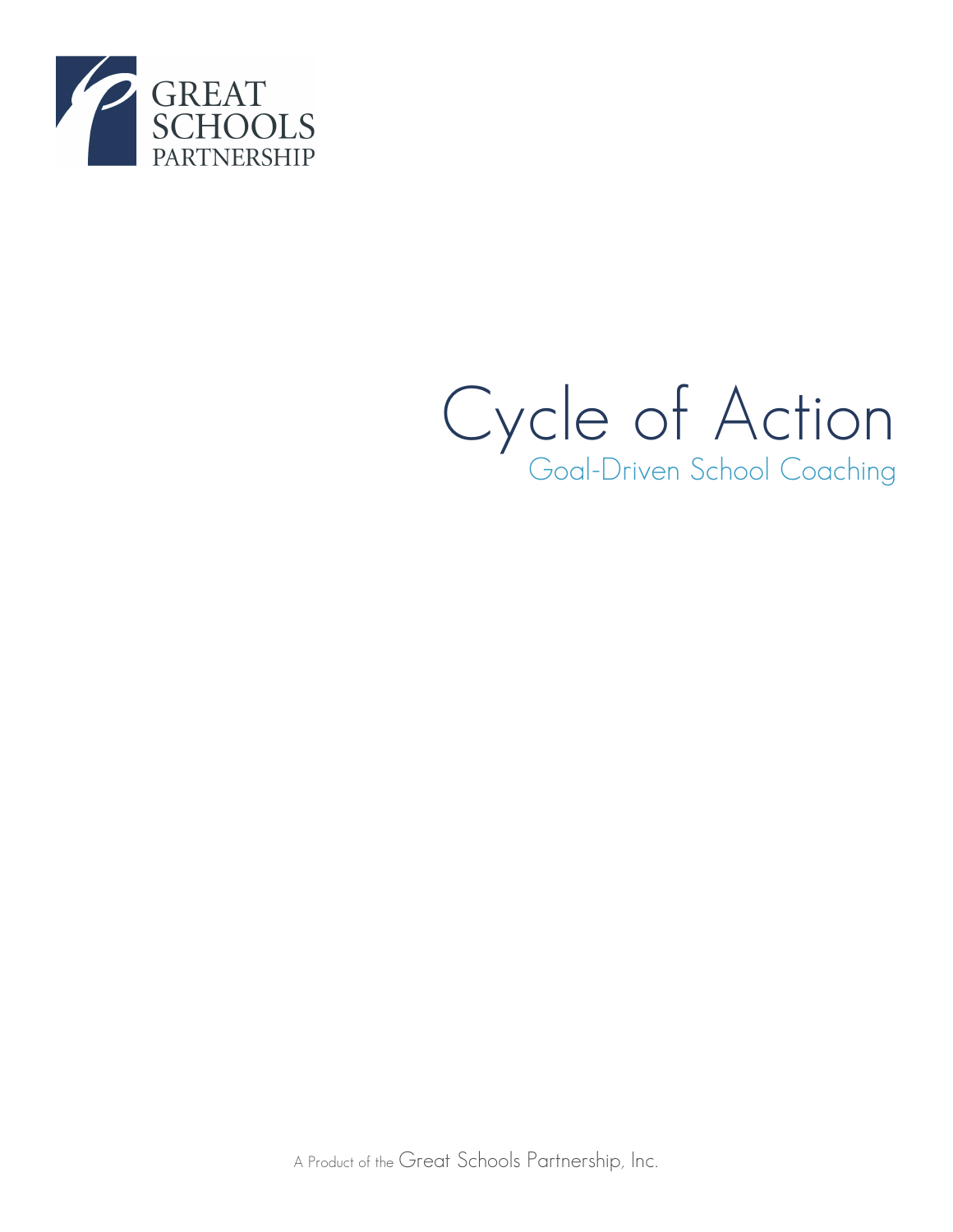

# Cycle of Action Goal-Driven School Coaching

A Product of the Great Schools Partnership, Inc.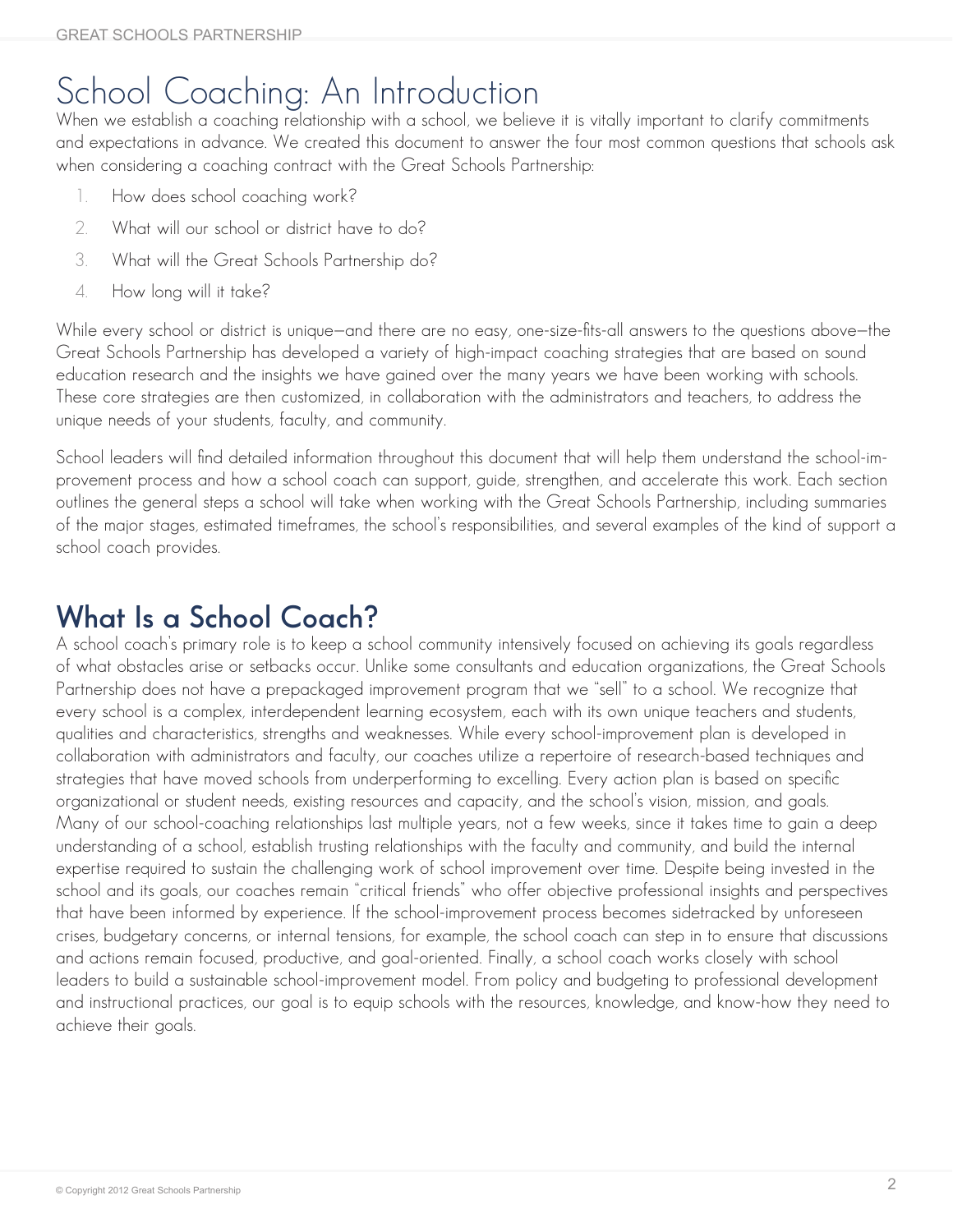# School Coaching: An Introduction

When we establish a coaching relationship with a school, we believe it is vitally important to clarify commitments and expectations in advance. We created this document to answer the four most common questions that schools ask when considering a coaching contract with the Great Schools Partnership:

- 1. How does school coaching work?
- 2. What will our school or district have to do?
- 3. What will the Great Schools Partnership do?
- 4. How long will it take?

While every school or district is unique—and there are no easy, one-size-fits-all answers to the questions above—the Great Schools Partnership has developed a variety of high-impact coaching strategies that are based on sound education research and the insights we have gained over the many years we have been working with schools. These core strategies are then customized, in collaboration with the administrators and teachers, to address the unique needs of your students, faculty, and community.

School leaders will find detailed information throughout this document that will help them understand the school-improvement process and how a school coach can support, guide, strengthen, and accelerate this work. Each section outlines the general steps a school will take when working with the Great Schools Partnership, including summaries of the major stages, estimated timeframes, the school's responsibilities, and several examples of the kind of support a school coach provides.

### **What Is a School Coach?**

A school coach's primary role is to keep a school community intensively focused on achieving its goals regardless of what obstacles arise or setbacks occur. Unlike some consultants and education organizations, the Great Schools Partnership does not have a prepackaged improvement program that we "sell" to a school. We recognize that every school is a complex, interdependent learning ecosystem, each with its own unique teachers and students, qualities and characteristics, strengths and weaknesses. While every school-improvement plan is developed in collaboration with administrators and faculty, our coaches utilize a repertoire of research-based techniques and strategies that have moved schools from underperforming to excelling. Every action plan is based on specific organizational or student needs, existing resources and capacity, and the school's vision, mission, and goals. Many of our school-coaching relationships last multiple years, not a few weeks, since it takes time to gain a deep understanding of a school, establish trusting relationships with the faculty and community, and build the internal expertise required to sustain the challenging work of school improvement over time. Despite being invested in the school and its goals, our coaches remain "critical friends" who offer objective professional insights and perspectives that have been informed by experience. If the school-improvement process becomes sidetracked by unforeseen crises, budgetary concerns, or internal tensions, for example, the school coach can step in to ensure that discussions and actions remain focused, productive, and goal-oriented. Finally, a school coach works closely with school leaders to build a sustainable school-improvement model. From policy and budgeting to professional development and instructional practices, our goal is to equip schools with the resources, knowledge, and know-how they need to achieve their goals.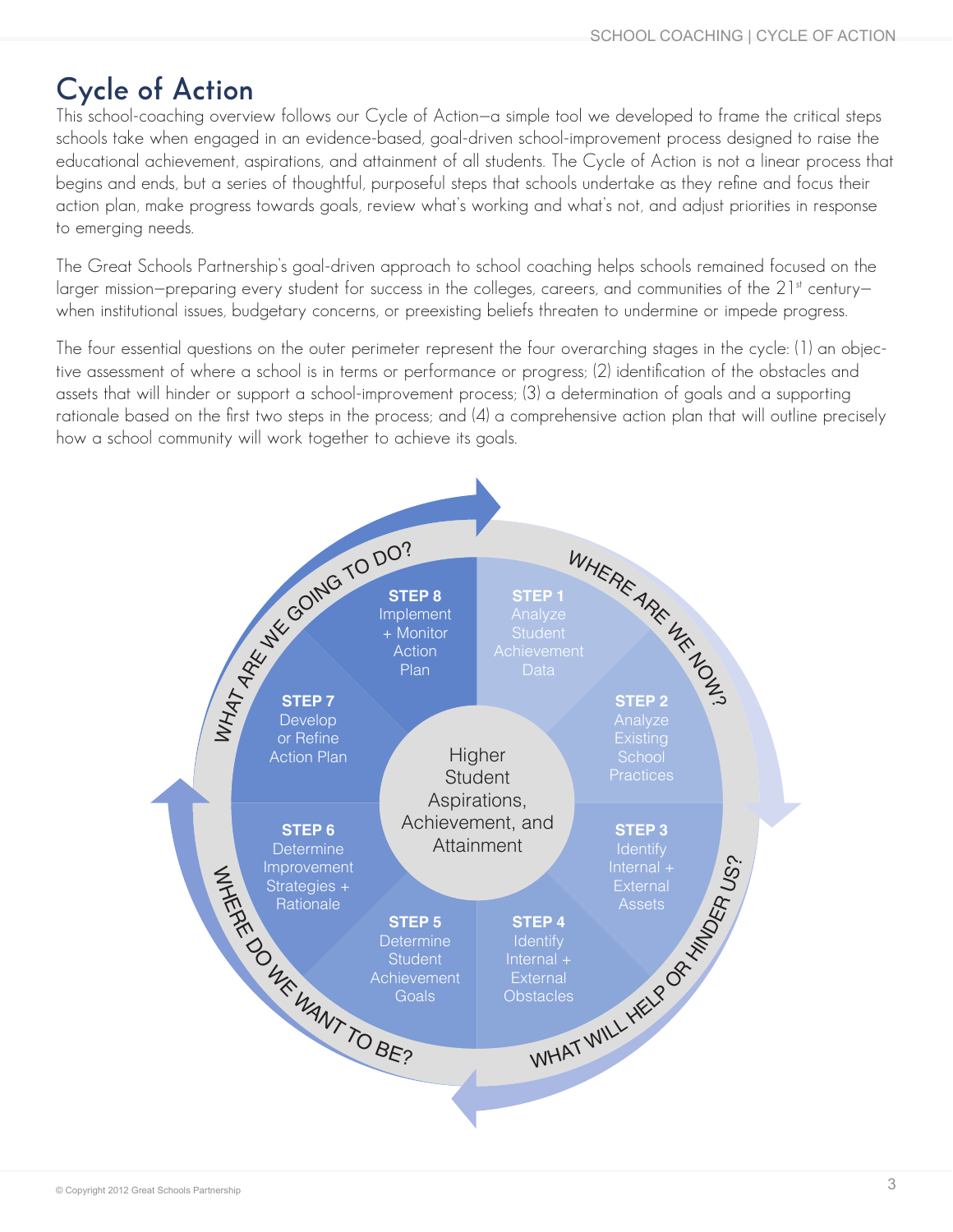# **Cycle of Action**

This school-coaching overview follows our Cycle of Action—a simple tool we developed to frame the critical steps schools take when engaged in an evidence-based, goal-driven school-improvement process designed to raise the educational achievement, aspirations, and attainment of all students. The Cycle of Action is not a linear process that begins and ends, but a series of thoughtful, purposeful steps that schools undertake as they refine and focus their action plan, make progress towards goals, review what's working and what's not, and adjust priorities in response to emerging needs.

The Great Schools Partnership's goal-driven approach to school coaching helps schools remained focused on the larger mission–preparing every student for success in the colleges, careers, and communities of the 21st century– when institutional issues, budgetary concerns, or preexisting beliefs threaten to undermine or impede progress.

The four essential questions on the outer perimeter represent the four overarching stages in the cycle: (1) an objective assessment of where a school is in terms or performance or progress; (2) identification of the obstacles and assets that will hinder or support a school-improvement process; (3) a determination of goals and a supporting rationale based on the first two steps in the process; and (4) a comprehensive action plan that will outline precisely how a school community will work together to achieve its goals.

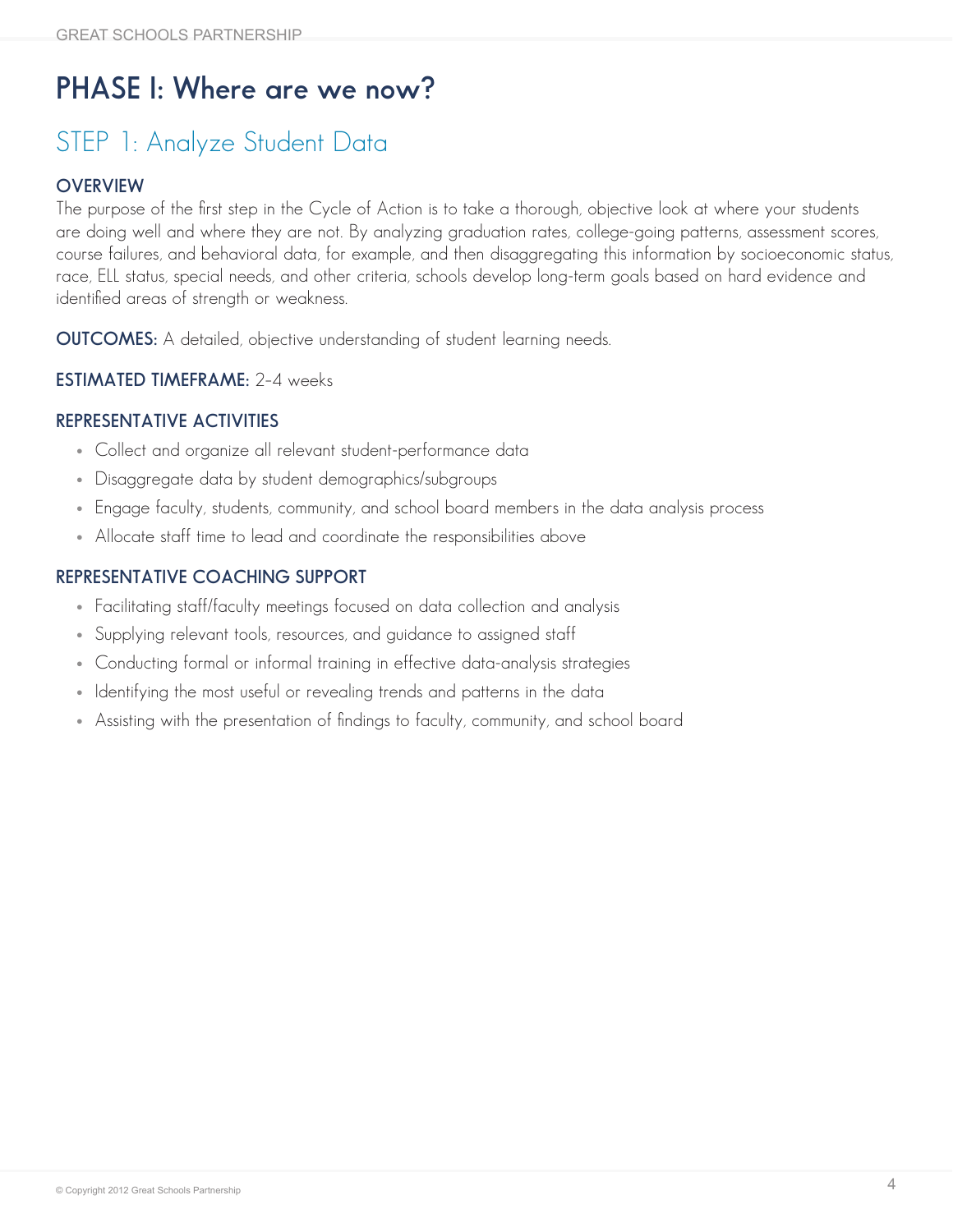# **PHASE I: Where are we now?**

# STEP 1: Analyze Student Data

#### **OVERVIEW**

The purpose of the first step in the Cycle of Action is to take a thorough, objective look at where your students are doing well and where they are not. By analyzing graduation rates, college-going patterns, assessment scores, course failures, and behavioral data, for example, and then disaggregating this information by socioeconomic status, race, ELL status, special needs, and other criteria, schools develop long-term goals based on hard evidence and identified areas of strength or weakness.

**OUTCOMES:** A detailed, objective understanding of student learning needs.

#### **ESTIMATED TIMEFRAME:** 2–4 weeks

#### **REPRESENTATIVE ACTIVITIES**

- Collect and organize all relevant student-performance data
- Disaggregate data by student demographics/subgroups
- Engage faculty, students, community, and school board members in the data analysis process
- Allocate staff time to lead and coordinate the responsibilities above

- Facilitating staff/faculty meetings focused on data collection and analysis
- Supplying relevant tools, resources, and guidance to assigned staff
- Conducting formal or informal training in effective data-analysis strategies
- Identifying the most useful or revealing trends and patterns in the data
- Assisting with the presentation of findings to faculty, community, and school board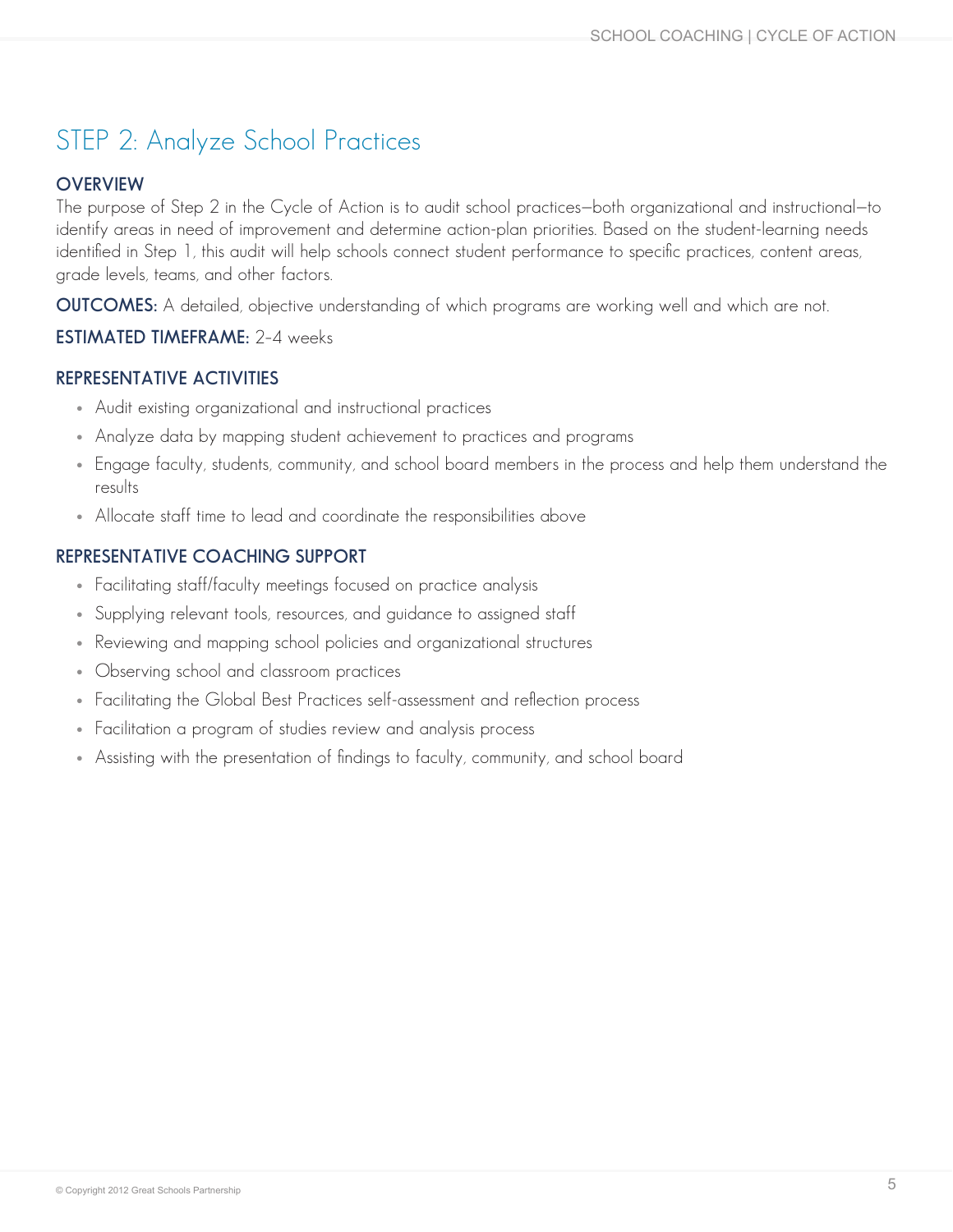## STEP 2: Analyze School Practices

#### **OVERVIEW**

The purpose of Step 2 in the Cycle of Action is to audit school practices—both organizational and instructional—to identify areas in need of improvement and determine action-plan priorities. Based on the student-learning needs identified in Step 1, this audit will help schools connect student performance to specific practices, content areas, grade levels, teams, and other factors.

**OUTCOMES:** A detailed, objective understanding of which programs are working well and which are not.

#### **ESTIMATED TIMEFRAME:** 2–4 weeks

#### **REPRESENTATIVE ACTIVITIES**

- Audit existing organizational and instructional practices
- Analyze data by mapping student achievement to practices and programs
- Engage faculty, students, community, and school board members in the process and help them understand the results
- Allocate staff time to lead and coordinate the responsibilities above

- Facilitating staff/faculty meetings focused on practice analysis
- Supplying relevant tools, resources, and guidance to assigned staff
- Reviewing and mapping school policies and organizational structures
- Observing school and classroom practices
- Facilitating the Global Best Practices self-assessment and reflection process
- Facilitation a program of studies review and analysis process
- Assisting with the presentation of findings to faculty, community, and school board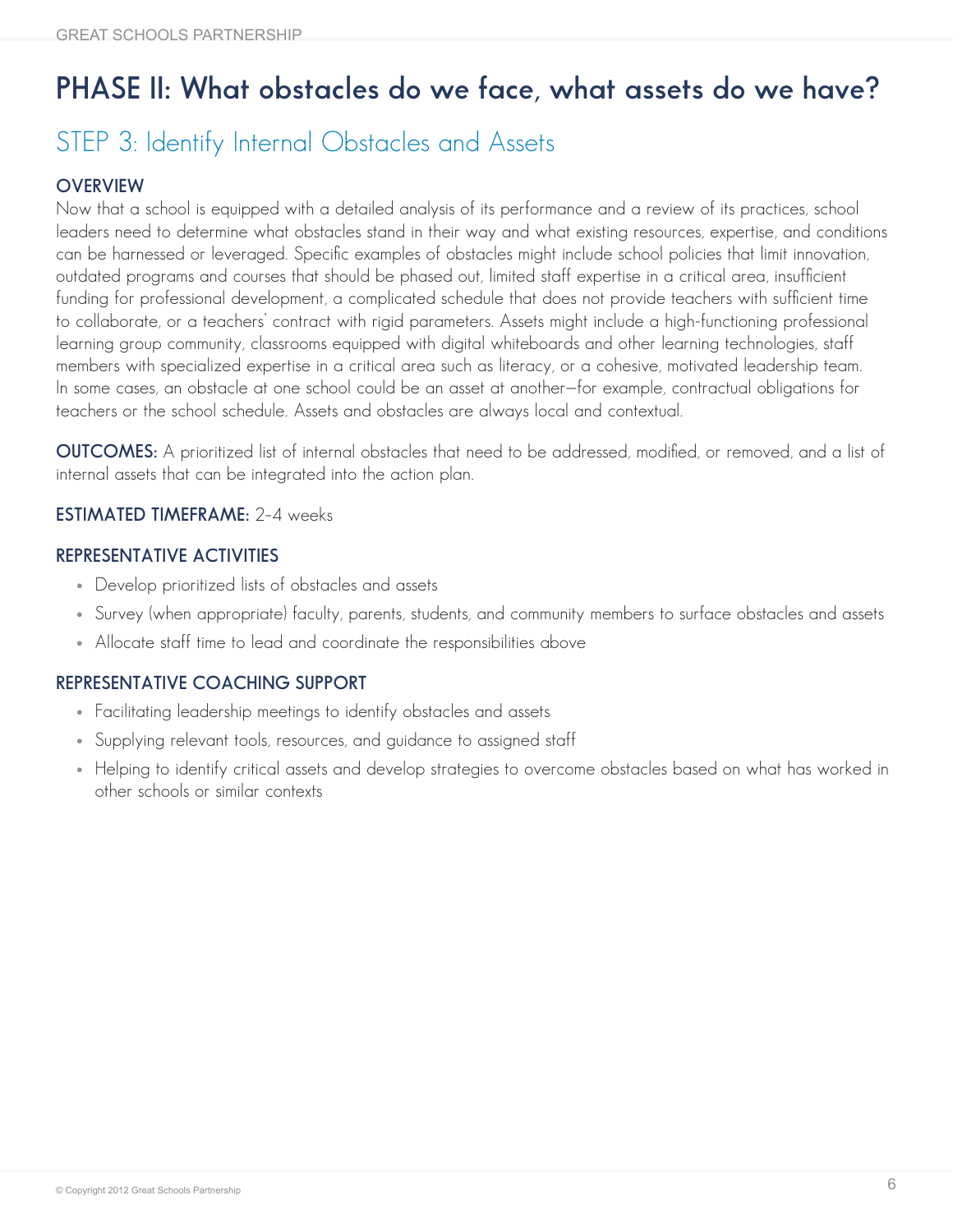# **PHASE II: What obstacles do we face, what assets do we have?**

### STEP 3: Identify Internal Obstacles and Assets

#### **OVERVIEW**

Now that a school is equipped with a detailed analysis of its performance and a review of its practices, school leaders need to determine what obstacles stand in their way and what existing resources, expertise, and conditions can be harnessed or leveraged. Specific examples of obstacles might include school policies that limit innovation, outdated programs and courses that should be phased out, limited staff expertise in a critical area, insufficient funding for professional development, a complicated schedule that does not provide teachers with sufficient time to collaborate, or a teachers' contract with rigid parameters. Assets might include a high-functioning professional learning group community, classrooms equipped with digital whiteboards and other learning technologies, staff members with specialized expertise in a critical area such as literacy, or a cohesive, motivated leadership team. In some cases, an obstacle at one school could be an asset at another—for example, contractual obligations for teachers or the school schedule. Assets and obstacles are always local and contextual.

**OUTCOMES:** A prioritized list of internal obstacles that need to be addressed, modified, or removed, and a list of internal assets that can be integrated into the action plan.

#### **ESTIMATED TIMEFRAME:** 2–4 weeks

#### **REPRESENTATIVE ACTIVITIES**

- Develop prioritized lists of obstacles and assets
- • Survey (when appropriate) faculty, parents, students, and community members to surface obstacles and assets
- Allocate staff time to lead and coordinate the responsibilities above

- Facilitating leadership meetings to identify obstacles and assets
- Supplying relevant tools, resources, and guidance to assigned staff
- Helping to identify critical assets and develop strategies to overcome obstacles based on what has worked in other schools or similar contexts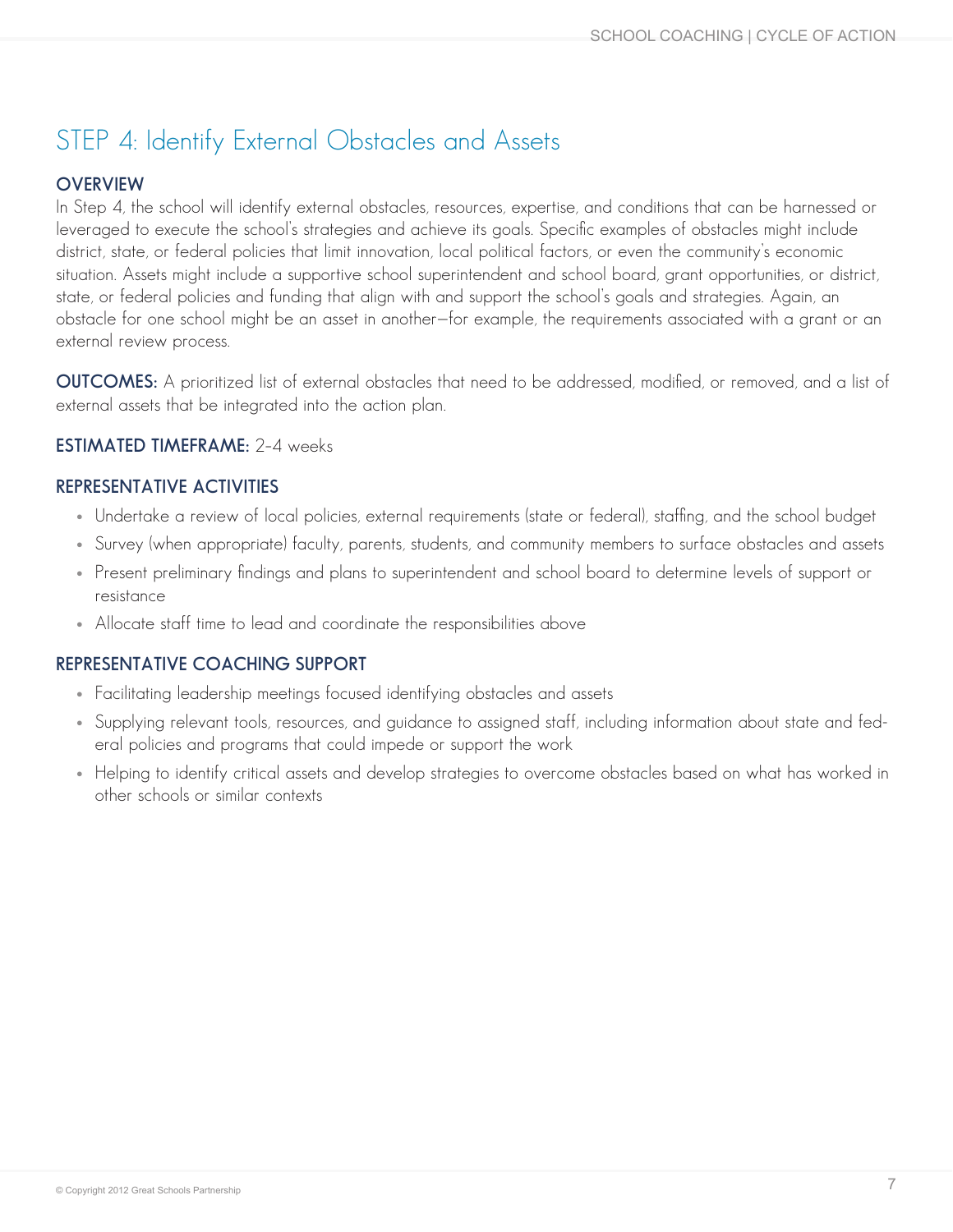### STEP 4: Identify External Obstacles and Assets

#### **OVERVIEW**

In Step 4, the school will identify external obstacles, resources, expertise, and conditions that can be harnessed or leveraged to execute the school's strategies and achieve its goals. Specific examples of obstacles might include district, state, or federal policies that limit innovation, local political factors, or even the community's economic situation. Assets might include a supportive school superintendent and school board, grant opportunities, or district, state, or federal policies and funding that align with and support the school's goals and strategies. Again, an obstacle for one school might be an asset in another—for example, the requirements associated with a grant or an external review process.

**OUTCOMES:** A prioritized list of external obstacles that need to be addressed, modified, or removed, and a list of external assets that be integrated into the action plan.

#### **ESTIMATED TIMEFRAME:** 2–4 weeks

#### **REPRESENTATIVE ACTIVITIES**

- Undertake a review of local policies, external requirements (state or federal), staffing, and the school budget
- • Survey (when appropriate) faculty, parents, students, and community members to surface obstacles and assets
- Present preliminary findings and plans to superintendent and school board to determine levels of support or resistance
- Allocate staff time to lead and coordinate the responsibilities above

- Facilitating leadership meetings focused identifying obstacles and assets
- Supplying relevant tools, resources, and quidance to assigned staff, including information about state and federal policies and programs that could impede or support the work
- Helping to identify critical assets and develop strategies to overcome obstacles based on what has worked in other schools or similar contexts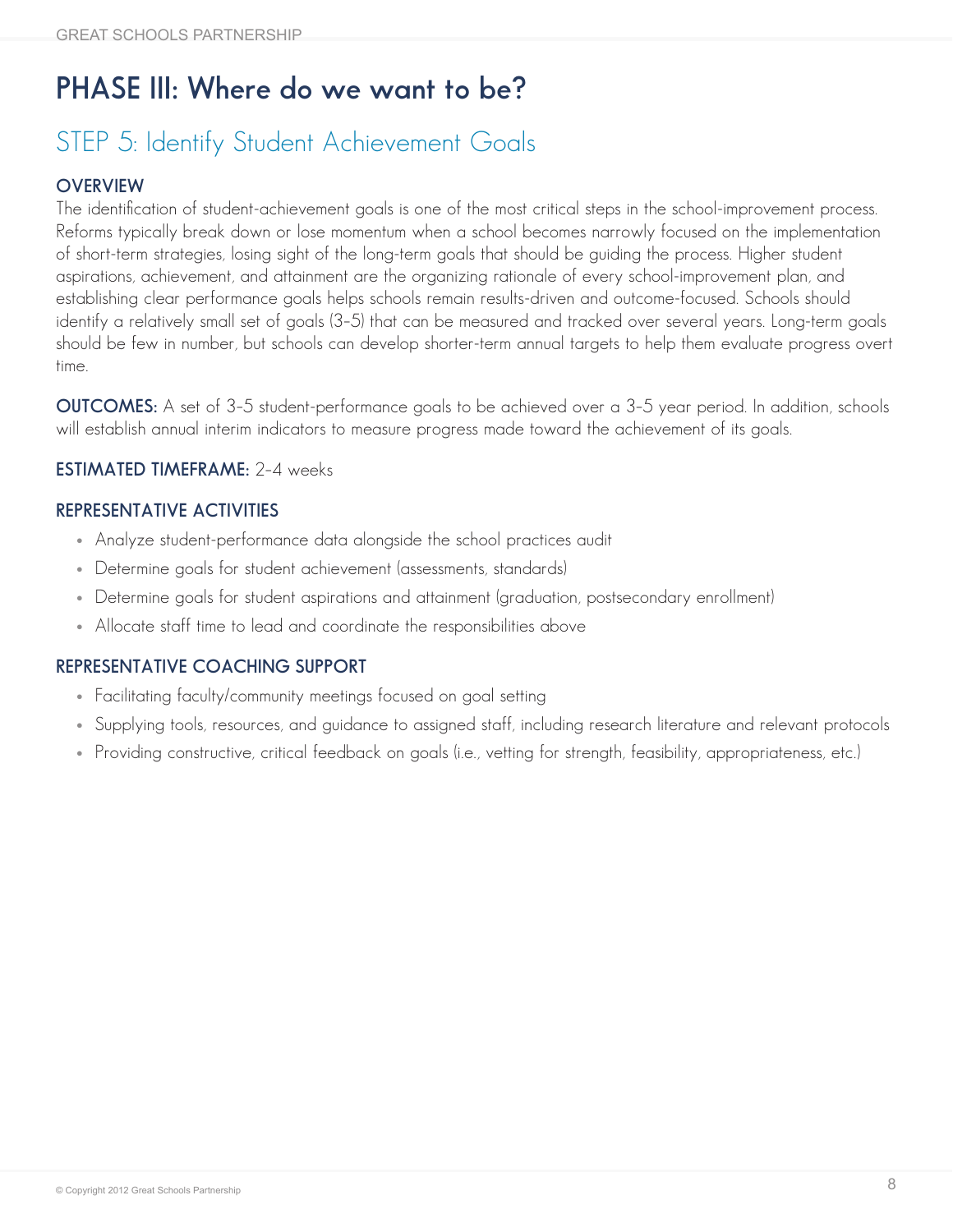# **PHASE III: Where do we want to be?**

## STEP 5: Identify Student Achievement Goals

#### **OVERVIEW**

The identification of student-achievement goals is one of the most critical steps in the school-improvement process. Reforms typically break down or lose momentum when a school becomes narrowly focused on the implementation of short-term strategies, losing sight of the long-term goals that should be guiding the process. Higher student aspirations, achievement, and attainment are the organizing rationale of every school-improvement plan, and establishing clear performance goals helps schools remain results-driven and outcome-focused. Schools should identify a relatively small set of goals (3–5) that can be measured and tracked over several years. Long-term goals should be few in number, but schools can develop shorter-term annual targets to help them evaluate progress overt time.

**OUTCOMES:** A set of 3–5 student-performance goals to be achieved over a 3–5 year period. In addition, schools will establish annual interim indicators to measure progress made toward the achievement of its goals.

#### **ESTIMATED TIMEFRAME:** 2–4 weeks

#### **REPRESENTATIVE ACTIVITIES**

- Analyze student-performance data alongside the school practices audit
- Determine goals for student achievement (assessments, standards)
- Determine goals for student aspirations and attainment (graduation, postsecondary enrollment)
- Allocate staff time to lead and coordinate the responsibilities above

- Facilitating faculty/community meetings focused on goal setting
- • Supplying tools, resources, and guidance to assigned staff, including research literature and relevant protocols
- Providing constructive, critical feedback on goals (i.e., vetting for strength, feasibility, appropriateness, etc.)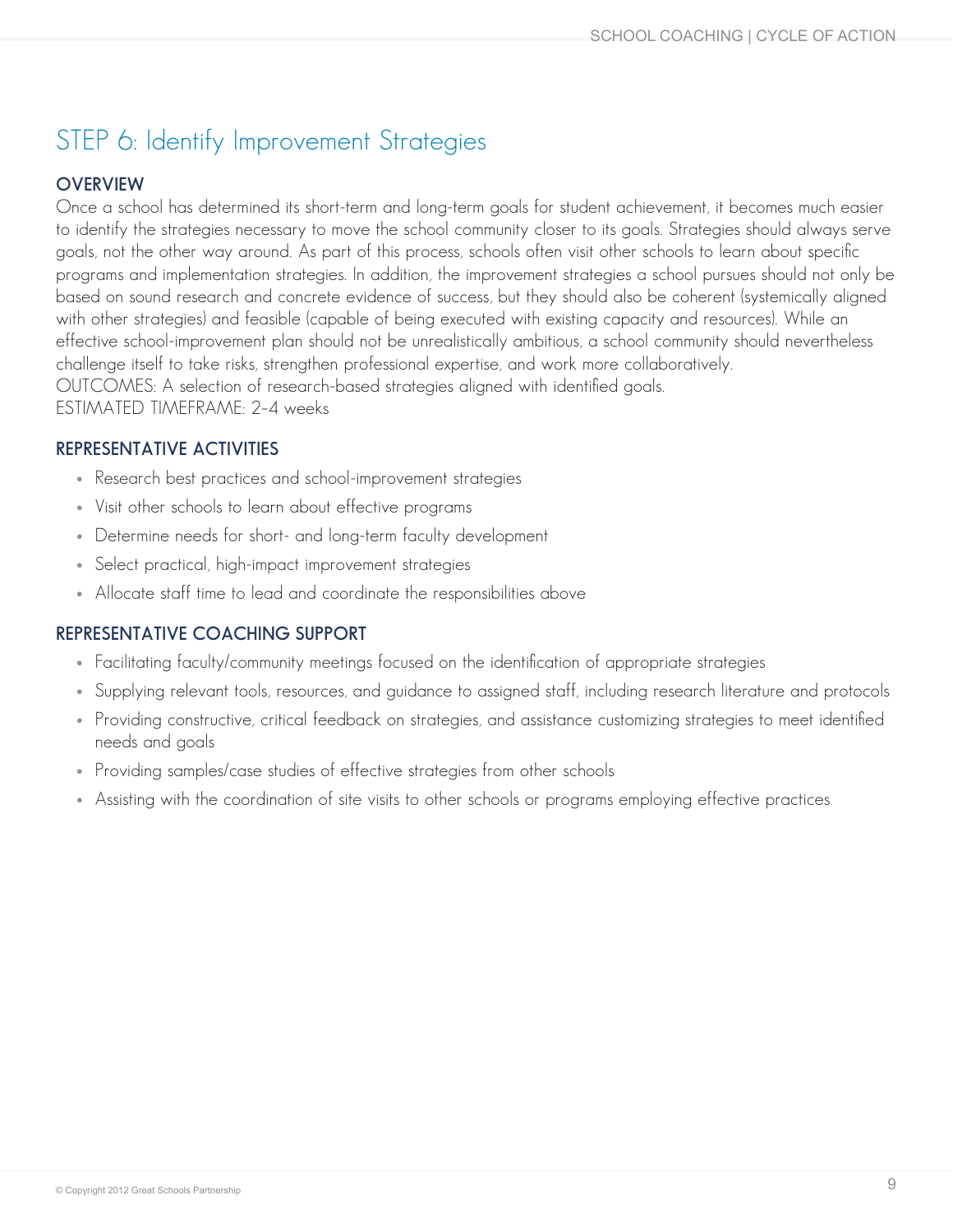### STEP 6: Identify Improvement Strategies

#### **OVERVIEW**

Once a school has determined its short-term and long-term goals for student achievement, it becomes much easier to identify the strategies necessary to move the school community closer to its goals. Strategies should always serve goals, not the other way around. As part of this process, schools often visit other schools to learn about specific programs and implementation strategies. In addition, the improvement strategies a school pursues should not only be based on sound research and concrete evidence of success, but they should also be coherent (systemically aligned with other strategies) and feasible (capable of being executed with existing capacity and resources). While an effective school-improvement plan should not be unrealistically ambitious, a school community should nevertheless challenge itself to take risks, strengthen professional expertise, and work more collaboratively. OUTCOMES: A selection of research-based strategies aligned with identified goals. ESTIMATED TIMEFRAME: 2–4 weeks

#### **REPRESENTATIVE ACTIVITIES**

- Research best practices and school-improvement strategies
- Visit other schools to learn about effective programs
- Determine needs for short- and long-term faculty development
- Select practical, high-impact improvement strategies
- Allocate staff time to lead and coordinate the responsibilities above

- Facilitating faculty/community meetings focused on the identification of appropriate strategies
- Supplying relevant tools, resources, and guidance to assigned staff, including research literature and protocols
- Providing constructive, critical feedback on strategies, and assistance customizing strategies to meet identified needs and goals
- Providing samples/case studies of effective strategies from other schools
- Assisting with the coordination of site visits to other schools or programs employing effective practices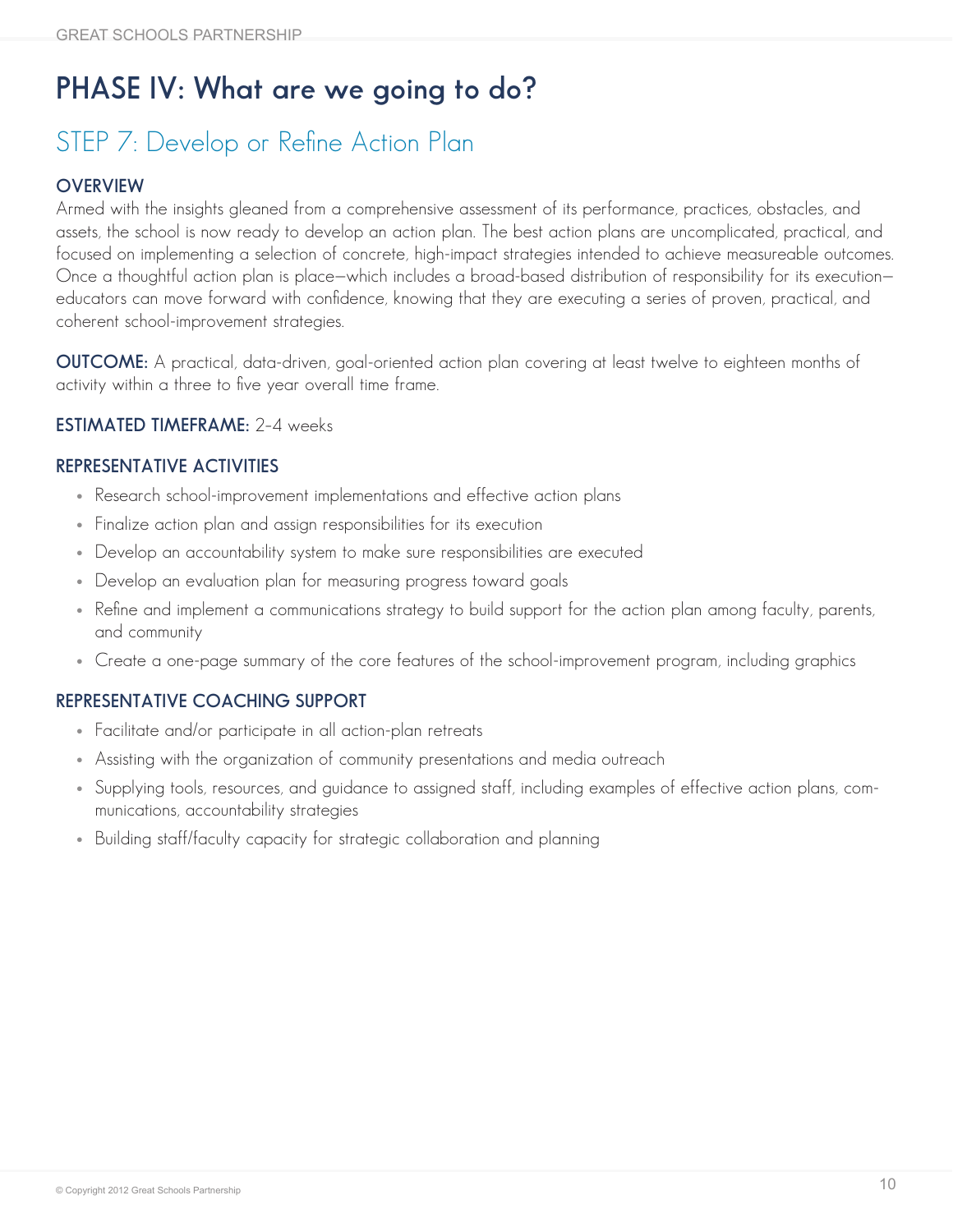# **PHASE IV: What are we going to do?**

### STEP 7: Develop or Refine Action Plan

#### **OVERVIEW**

Armed with the insights gleaned from a comprehensive assessment of its performance, practices, obstacles, and assets, the school is now ready to develop an action plan. The best action plans are uncomplicated, practical, and focused on implementing a selection of concrete, high-impact strategies intended to achieve measureable outcomes. Once a thoughtful action plan is place—which includes a broad-based distribution of responsibility for its execution educators can move forward with confidence, knowing that they are executing a series of proven, practical, and coherent school-improvement strategies.

**OUTCOME:** A practical, data-driven, goal-oriented action plan covering at least twelve to eighteen months of activity within a three to five year overall time frame.

#### **ESTIMATED TIMEFRAME:** 2–4 weeks

#### **REPRESENTATIVE ACTIVITIES**

- Research school-improvement implementations and effective action plans
- Finalize action plan and assign responsibilities for its execution
- Develop an accountability system to make sure responsibilities are executed
- Develop an evaluation plan for measuring progress toward goals
- Refine and implement a communications strategy to build support for the action plan among faculty, parents, and community
- Create a one-page summary of the core features of the school-improvement program, including graphics

- Facilitate and/or participate in all action-plan retreats
- Assisting with the organization of community presentations and media outreach
- Supplying tools, resources, and guidance to assigned staff, including examples of effective action plans, communications, accountability strategies
- Building staff/faculty capacity for strategic collaboration and planning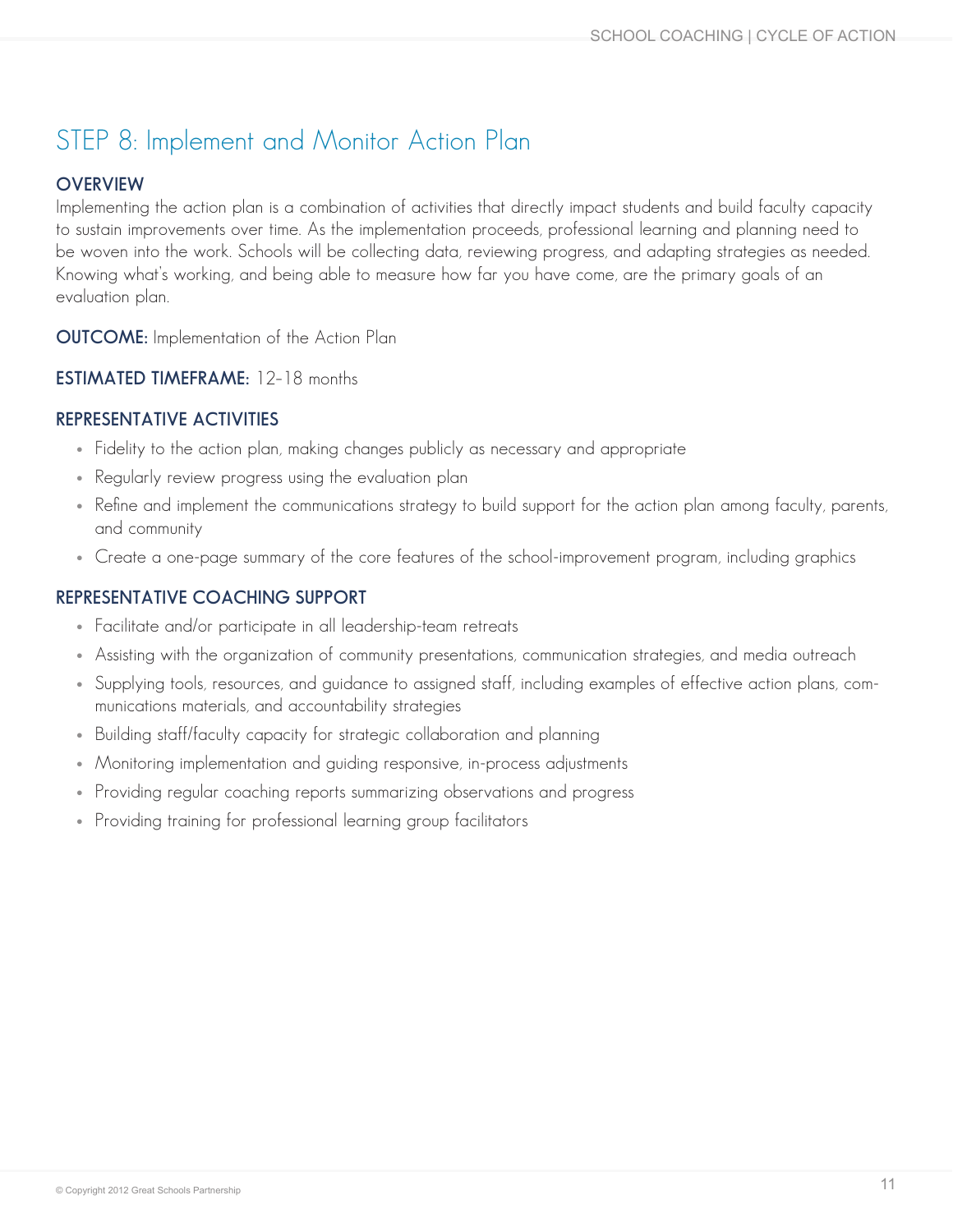### STEP 8: Implement and Monitor Action Plan

#### **OVERVIEW**

Implementing the action plan is a combination of activities that directly impact students and build faculty capacity to sustain improvements over time. As the implementation proceeds, professional learning and planning need to be woven into the work. Schools will be collecting data, reviewing progress, and adapting strategies as needed. Knowing what's working, and being able to measure how far you have come, are the primary goals of an evaluation plan.

**OUTCOME:** Implementation of the Action Plan

**ESTIMATED TIMEFRAME:** 12–18 months

#### **REPRESENTATIVE ACTIVITIES**

- Fidelity to the action plan, making changes publicly as necessary and appropriate
- Regularly review progress using the evaluation plan
- Refine and implement the communications strategy to build support for the action plan among faculty, parents, and community
- Create a one-page summary of the core features of the school-improvement program, including graphics

- Facilitate and/or participate in all leadership-team retreats
- • Assisting with the organization of community presentations, communication strategies, and media outreach
- Supplying tools, resources, and guidance to assigned staff, including examples of effective action plans, communications materials, and accountability strategies
- Building staff/faculty capacity for strategic collaboration and planning
- Monitoring implementation and quiding responsive, in-process adjustments
- Providing regular coaching reports summarizing observations and progress
- Providing training for professional learning group facilitators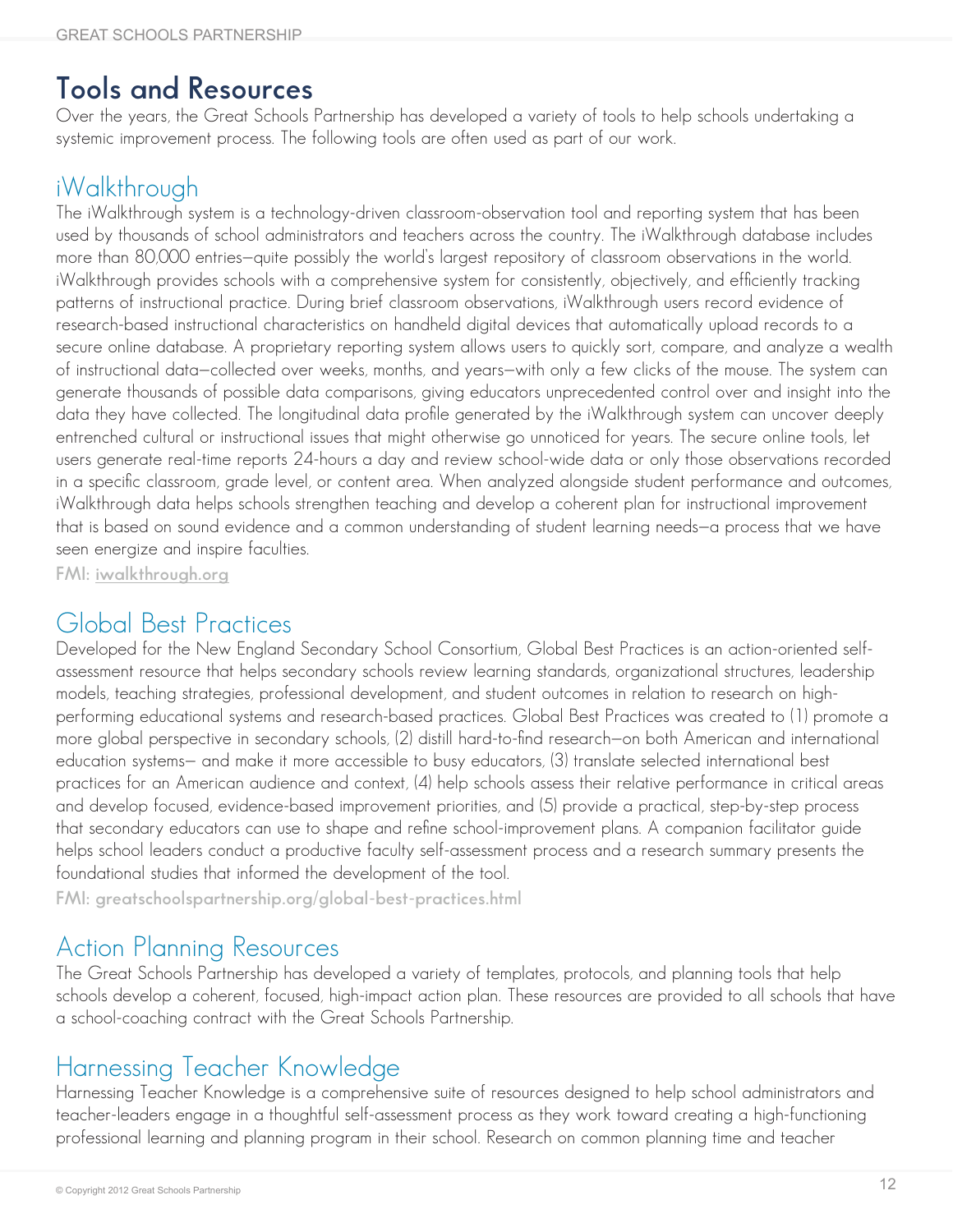### **Tools and Resources**

Over the years, the Great Schools Partnership has developed a variety of tools to help schools undertaking a systemic improvement process. The following tools are often used as part of our work.

### iWalkthrough

The iWalkthrough system is a technology-driven classroom-observation tool and reporting system that has been used by thousands of school administrators and teachers across the country. The iWalkthrough database includes more than 80,000 entries—quite possibly the world's largest repository of classroom observations in the world. iWalkthrough provides schools with a comprehensive system for consistently, objectively, and efficiently tracking patterns of instructional practice. During brief classroom observations, iWalkthrough users record evidence of research-based instructional characteristics on handheld digital devices that automatically upload records to a secure online database. A proprietary reporting system allows users to quickly sort, compare, and analyze a wealth of instructional data—collected over weeks, months, and years—with only a few clicks of the mouse. The system can generate thousands of possible data comparisons, giving educators unprecedented control over and insight into the data they have collected. The longitudinal data profile generated by the iWalkthrough system can uncover deeply entrenched cultural or instructional issues that might otherwise go unnoticed for years. The secure online tools, let users generate real-time reports 24-hours a day and review school-wide data or only those observations recorded in a specific classroom, grade level, or content area. When analyzed alongside student performance and outcomes, iWalkthrough data helps schools strengthen teaching and develop a coherent plan for instructional improvement that is based on sound evidence and a common understanding of student learning needs—a process that we have seen energize and inspire faculties.

**FMI: [iwalkthrough.org](http://www.iwalkthrough.org/)**

### Global Best Practices

Developed for the New England Secondary School Consortium, Global Best Practices is an action-oriented selfassessment resource that helps secondary schools review learning standards, organizational structures, leadership models, teaching strategies, professional development, and student outcomes in relation to research on highperforming educational systems and research-based practices. Global Best Practices was created to (1) promote a more global perspective in secondary schools, (2) distill hard-to-find research—on both American and international education systems— and make it more accessible to busy educators, (3) translate selected international best practices for an American audience and context, (4) help schools assess their relative performance in critical areas and develop focused, evidence-based improvement priorities, and (5) provide a practical, step-by-step process that secondary educators can use to shape and refine school-improvement plans. A companion facilitator guide helps school leaders conduct a productive faculty self-assessment process and a research summary presents the foundational studies that informed the development of the tool.

**FMI: [greatschoolspartnership.org/global-best-practices.html](http://greatschoolspartnership.org/global-best-practices.html)**

### Action Planning Resources

The Great Schools Partnership has developed a variety of templates, protocols, and planning tools that help schools develop a coherent, focused, high-impact action plan. These resources are provided to all schools that have a school-coaching contract with the Great Schools Partnership.

### Harnessing Teacher Knowledge

Harnessing Teacher Knowledge is a comprehensive suite of resources designed to help school administrators and teacher-leaders engage in a thoughtful self-assessment process as they work toward creating a high-functioning professional learning and planning program in their school. Research on common planning time and teacher